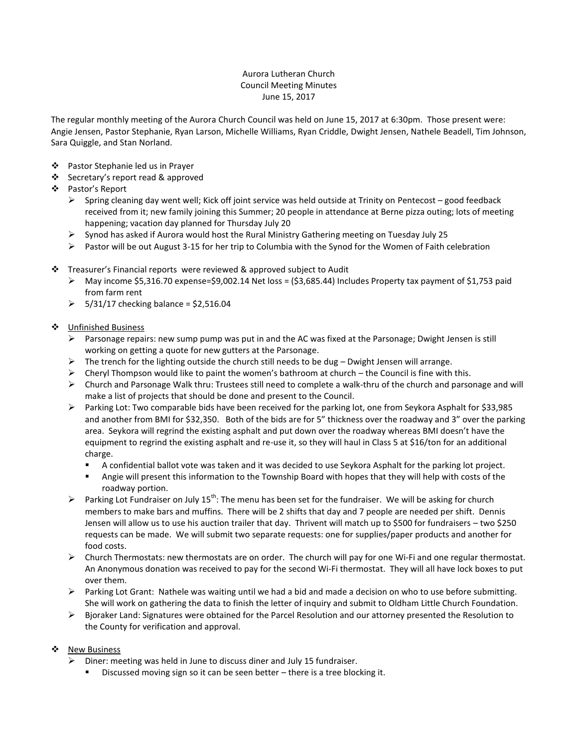## Aurora Lutheran Church Council Meeting Minutes June 15, 2017

The regular monthly meeting of the Aurora Church Council was held on June 15, 2017 at 6:30pm. Those present were: Angie Jensen, Pastor Stephanie, Ryan Larson, Michelle Williams, Ryan Criddle, Dwight Jensen, Nathele Beadell, Tim Johnson, Sara Quiggle, and Stan Norland.

- ❖ Pastor Stephanie led us in Prayer
- ❖ Secretary's report read & approved
- Pastor's Report
	- $\triangleright$  Spring cleaning day went well; Kick off joint service was held outside at Trinity on Pentecost good feedback received from it; new family joining this Summer; 20 people in attendance at Berne pizza outing; lots of meeting happening; vacation day planned for Thursday July 20
	- $\triangleright$  Synod has asked if Aurora would host the Rural Ministry Gathering meeting on Tuesday July 25
	- $\triangleright$  Pastor will be out August 3-15 for her trip to Columbia with the Synod for the Women of Faith celebration
- Treasurer's Financial reports were reviewed & approved subject to Audit
	- $\triangleright$  May income \$5,316.70 expense=\$9,002.14 Net loss = (\$3,685.44) Includes Property tax payment of \$1,753 paid from farm rent
	- $\geq$  5/31/17 checking balance = \$2,516.04
- ❖ Unfinished Business
	- **Parsonage repairs: new sump pump was put in and the AC was fixed at the Parsonage; Dwight Jensen is still** working on getting a quote for new gutters at the Parsonage.
	- $\triangleright$  The trench for the lighting outside the church still needs to be dug Dwight Jensen will arrange.
	- $\triangleright$  Cheryl Thompson would like to paint the women's bathroom at church the Council is fine with this.
	- $\triangleright$  Church and Parsonage Walk thru: Trustees still need to complete a walk-thru of the church and parsonage and will make a list of projects that should be done and present to the Council.
	- Parking Lot: Two comparable bids have been received for the parking lot, one from Seykora Asphalt for \$33,985 and another from BMI for \$32,350. Both of the bids are for 5" thickness over the roadway and 3" over the parking area. Seykora will regrind the existing asphalt and put down over the roadway whereas BMI doesn't have the equipment to regrind the existing asphalt and re-use it, so they will haul in Class 5 at \$16/ton for an additional charge.
		- A confidential ballot vote was taken and it was decided to use Seykora Asphalt for the parking lot project.
		- Angie will present this information to the Township Board with hopes that they will help with costs of the roadway portion.
	- Parking Lot Fundraiser on July 15<sup>th</sup>: The menu has been set for the fundraiser. We will be asking for church members to make bars and muffins. There will be 2 shifts that day and 7 people are needed per shift. Dennis Jensen will allow us to use his auction trailer that day. Thrivent will match up to \$500 for fundraisers – two \$250 requests can be made. We will submit two separate requests: one for supplies/paper products and another for food costs.
	- $\triangleright$  Church Thermostats: new thermostats are on order. The church will pay for one Wi-Fi and one regular thermostat. An Anonymous donation was received to pay for the second Wi-Fi thermostat. They will all have lock boxes to put over them.
	- $\triangleright$  Parking Lot Grant: Nathele was waiting until we had a bid and made a decision on who to use before submitting. She will work on gathering the data to finish the letter of inquiry and submit to Oldham Little Church Foundation.
	- $\triangleright$  Bjoraker Land: Signatures were obtained for the Parcel Resolution and our attorney presented the Resolution to the County for verification and approval.

## ❖ New Business

- $\triangleright$  Diner: meeting was held in June to discuss diner and July 15 fundraiser.
	- Discussed moving sign so it can be seen better there is a tree blocking it.